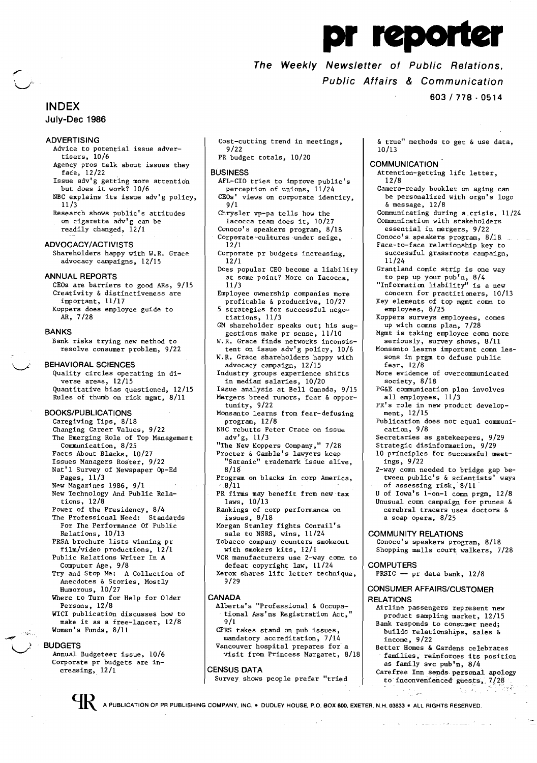pr reporter

# **The Weekly Newsletter of Public Relations, Public Affairs & Communication**

10/13

12/8

11/24

**COMMUNICATION** 

& message, 12/8

employees, 8/25

**603/778·0514** 

& true" methods to get & use data,

Attention-getting lift letter,

Camera-ready booklet on aging can be personalized with orgn's logo

Grantland comic strip is one way to pep up your pub'n, 8/4 "Informaticn liability" is a new concern for practitioners, 10/13 Key elements of top mgmt comn to

Communicating during a.crisis, 11/24 Communication with stakeholders essential in mergers, 9/22 Conoco's. speakers program, 8/18. Face-to-face relationship key to successful grassroots campaign,

# **INDEX**

### **July-Dec 1986**

## **ADVERTISING**

- Advice to potential issue advertisers, 10/6
- Agency pros talk about issues they face, 12/22
- Issue adv'g getting more attention but does it work? 10/6 NBC explains its issue adv'g policy,
- 11/3 Research shows public's attitudes on cigarette adv'g can be readily changed, 12/1
- **ADVOCACY/ACTIVISTS**

Shareholders happy with W.R. Grace advocacy campaigns, 12/15

### **ANNUAL REPORTS**

CEOs are barriers to good ARs, 9/15 Creativity & distinctiveness are important, 11/17 Koppers does employee guide to AR, 7/28

#### **BANKS**

Bank risks trying new method to resolve consumer problem, 9/22

#### **BEHAVIORAL SCIENCES**

Quality circles operating in diverse areas, 12/15 Quantitative bias questioned, 12/15 Rules of thumb on risk mgmt, 8/11

## **BOOKS/PUBLICATIONS**

Caregiving Tips, 8/18 Changing Career Values, 9/22 The Emerging Role of Top Management Communication, 8/25 Facts About Blacks, 10/27 Facts About Blacks, 10/27<br>Issues Managers Roster, 9/22 Nat'l Survey of Newspaper Op-Ed Pages, 11/3 New Magazines 1986, 9/1 New Technology And Public Rela tions, 12/8 Power of the Presidency, 8/4 The Professional Need: Standards For The Performance Of Public Relations, 10/13 PRSA brochure lists winning pr film/video productions, 12/1 Public Relations Writer In A blic Relations Writer In A<br>Computer Age, 9/8 Try and Stop Me: A Collection of Anecdotes & Stories, Mostly Humorous, 10/27 Where to Turn for Help for Older Persons, 12/8 WICI publication discusses how to make it as a free-lancer, 12/8

# Women's Funds, 8/11 **BUDGETS**

Annual Budgeteer issue, 10/6 Corporate pr budgets are in creasing,  $12/1$ 

- Cost-cutting trend in meetings, 9/22
- PR budget totals, 10/20

### **BUSINESS**

- AFL-CIO tries to improve public's perception of unions, 11/24 CEOs' views on corporate identity, 9/1
- Chrysler vp-pa tells how the Iacocca team does it, 10/27 Conoco's speakers program, 8/18
- Corporate-cultures under seige, 12/1
- Corporate pr budgets increasing, 12/1
- Does popular CEO become a liability at some point? More on Iacocca, 11/3
- Employee ownership companies more profitable & productive, 10/27
- 5 strategies for successful nego
- tiations, 11/3
- GM shareholder speaks out; his suggestions make pr sense, 11/10
- W.R. Grace finds networks inconsistent on issue adv'g policy, 10/6 W.R. Grace shareholders happy with
- advocacy campaign, 12/15
- Industry groups experience shifts in median salaries, 10/20
- Issue analysis at Bell Canada, 9/15 Mergers breed rumors, fear & opportunity, 9/22
- Monsanto learns from fear-defusing program, 12/8
- NBC rebutts Peter Grace on issue adv'g, 11/3
- "The New Koppers Company," 7/28 Procter & Gamble's lawyers keep octer & Gamble's lawyers keep<br>"Satanic" trademark issue alive,
- 8/18 Program on blacks in corp America, 8/11
- PR firms may benefit from new tax laws, 10/13
- Rankings of corp performance on issues, 8/18
- Morgan Stanley fights Conrail's sale to NSRS, wins, 11/24
- Tobacco company counters smokeout with smokers kits, 12/1
- VCR manufacturers use 2-way comn to defeat copyright law, 11/24
- Xerox shares lift letter technique, 9/29

### **CANADA**

- Alberta's "Professional & Occupational Ass'ns Registration Act," 9/1
- CPRS takes stand on pub issues, mandatory accreditation, 7/14 Vancouver hospital prepares for a visit from Princess Margaret, 8/18

### **CENSUS DATA**

# Survey shows people prefer "tried

Koppers surveys employees, comes up with comns plan, 7/28 Mgmt is taking employee comn more seriously, survey shows, 8/11 Monsanto learns important comn lessons in prgm to defuse public fear, 12/8 More evidence of overcommunicated society, 8/18 PG&E communication plan involves all employees, 11/3 PR's role in new product development, 12/15 Publication does not equal communication, 9/8 Secretaries as gatekeepers, 9/29 Strategic disinformation, 9/29 10 principles for successful meetings, 9/22 2-way comn needed to bridge gap between public's & scientists' ways of assessing risk, 8/11 U of Iowa's 1~on-1 comn prgm, 12/8 Unusual comn campaign for prunes & cerebral tracers uses doctors & a soap opera, 8/25 **COMMUNITY RELATIONS**  Conoco's speakers program, 8/18 Shopping malls court walkers, 7/28 **COMPUTERS**  PRSIG **--** pr data bank, 12/8 **CONSUMER AFFAIRS/CUSTOMER RELATIONS**  Airline passengers represent new product sampling market, 12/15 Bank responds to consumer need;

- builds relationships, sales  $\delta$ income, 9/22 Better Homes & Gardens celebrates
- families, reinforces its position as family svc pub'n, 8/4
- Carefree Inn sends· personal apology to' inconvenienced' gUests~\_ *7-128*

والتقاربة والمساعين ومراجع والمرتضان والا

A PUBLICATION OF PR PUBLISHING COMPANY, INC. • DUDLEY HOUSE, P.O. BOX 600, EXETER, N.H. 03833 • ALL RIGHTS RESERVED.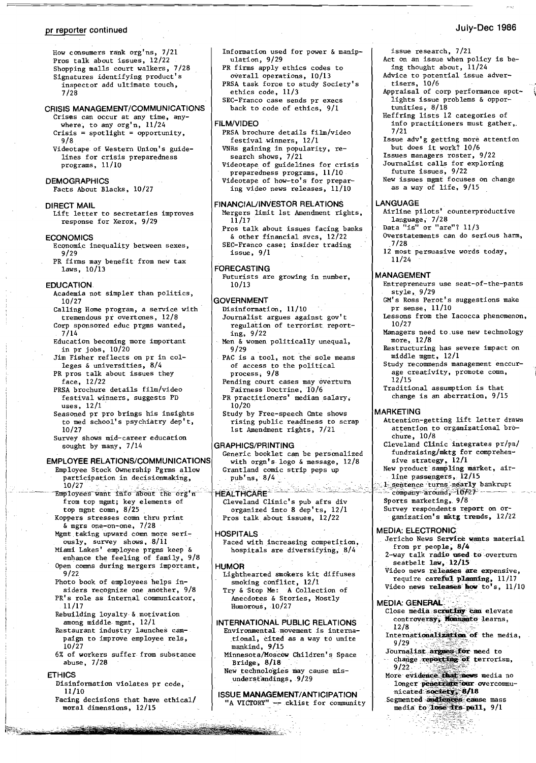#### pr reporter continued

## July-Dec 1986

Row consumers rank org'ns, 7/21 Pros talk about issues, 12/22 Shopping malls court walkers, 7/28 Signatures identifying product's inspector add ultimate touch, 7/28

## CRISIS MANAGEMENT/COMMUNICATIONS

- Crises can occur at any time, anywhere, to any org'n, 11/24  $Crisis = spotlight = opportunity,$ 9/8
- Videotape of Western Union's guidelines for crisis preparedness programs, 11/10

### **DEMOGRAPHICS**

Facts About Blacks, 10/27

### DIRECT MAIL

Lift letter to secretaries improves response for Xerox, 9/29

# **ECONOMICS**

- Economic inequality between sexes, 9/29
- PR firms may benefit from new tax laws, 10/13

### EDUCATION

- Academia not simpler than politics, 10/27
- Calling Home program, a service with
- tremendous *pi* overtones, 12/8 Corp sponsored educ prgms wanted, 7/14
- Education becoming more important in pr jobs,  $10/20$
- Jim Fisher reflects on pr in colleges & universities, 8/4
- PR pros talk about issues they face, 12/22
- PRSA brochure details film/video festival winners, suggests PD uses, 12/1
- Seasoned pr pro brings his insights to med school's psychiatry dep't, 10/27
- Survey shows mid-career education sought by many, 7/14

### EMPLOYEE RELATIONS/COMMUNICATIONS

- Employee Stock Ownership Pgrms allow participation in decisionmaking,<br>10/27
- $\frac{10/27}{\text{Employees want}}$  into about the org'n from top mgmt; key elements of
	- top mgnt comn, 8/25 Koppers stresses comn thru print &mgrs one~on-one, 7/28
	- Mgmt taking upward comn more seriously, survey shows, 8/11
	- Miami Lakes' employeeprgms keep & enhance the feeling of family, 9/8 Open comms during mergers important,<br>9/22
	- Photo book of employees helps in-
	- siders recognize one another, 9/8 PR's role as internal communicator, 11/17
	- Rebuilding loyalty· &,motivation among middle mgmt, 12/1
	- Restaurant industry launches cam paign to improve employee rels, 10/27
	- 6% of workers suffer from substance abuse, 7/28

#### ETHICS

I ,

I ~~--~--~ -.~

- Disinformation violates pr code, 11/10
- Facing decisions that have ethical/ moral dimensions, 12/15
- Information used for power & manipulation, 9/29
- PR firms apply ethics codes to overall operations, 10/13
- PRSA task force to study Society's ethics code, 11/3
- SEC-Franco case sends pr execs back to code of ethics, 9/1

#### FILM/vIDEO

- PRSA brochure details film/Video festival winners, 12/1 VNRs gaining in popularity, re-
- search shows, 7/21 Videotape of guidelines for crisis
- preparedness programs, 11/10 Videotape of how-to's for preparing video news releases, 11/10

#### FINANCIAUINVESTOR RELATIONS

- Mergers limit 1st Amendment rights, 11/17
- Pros talk about issues facing banks & other financial svcs, 12/22 SEC-Franco case; insider trading issue, 9/1

#### FORECASTING

Futurists are growing in number, 10/13

#### **GOVERNMENT**

- Disinformation, 11/10
	- Journalist argues against gov't regulation of terrorist reporting, 9/22
- Men & women politically unequal, 9/29
- PAC is a tool, not the sole means of access to the political process; 9/8
- Pending court cases may overturn Fairness Doctrine, 10/6
- ,PR practitioners' median salary, 10/20
- Study by Free-speech Gmte shows rising public readiness to scrap 1st Amendment rights, 7/21

# GRAPHICS/PRINTING

- Generic booklet can be personalized with orgn's logo & message, 12/8 Grantland comic strip peps up pub.'ns, 8/4
- $t$  -tales because the construction of  $\mathbb{R}^n$  company spand  $\mathbb{R}^n$  .  $\cdots$ Cleveland Clinic's pub afrs div organized into 8 dep'ts, 12/1 Pros talk about issues, 12/22

#### **HOSPITALS**

Faced with increasing competition, hospitals are diversifying, 8/4

#### **HUMOR**

**CONTRACTOR** 

- Lighthearted smokers kit diffuses smoking conflict, 12/1
- Try &'Stop Me: A Collection of Anecdotes Stories, Mostly Humorous, 10/27

### INTERNATIONAL PUBLIC RELATIONS Environmental movement is international, cited as a way to unite

- mankind, 9/15 Minnesota/MoscOw Children's Space Bridge,  $8/18$
- New technologies may cause misunderstandings, 9/29

#### ISSUE MANAGEMENT/ANTICIPATION "A VICTORY" -- cklist for community

tisers, 10/6 Appraisal of corp performance spot-

issue research, 7/21

lights issue problems & opportunities, 8/18 Reffring lists 12 categories of

Act on an issue when policy is being thought about, 11/24 Advice to potential issue adver-

- info practitioners must gather,. 7/21
- Issue adv'g getting more attention but does it work? 10/6 but does it work? 10/6<br>Issues managers roster, 9/22
- Journalist calls for exploring
- future issues, 9/22
- New issues mgmt focuses on change as a way of life, 9/15

## LANGUAGE

- Airline pilots' counterproductive language, 7/28 Data "is" or "are"? 11/3
- 
- Overstatements can do serious harm, 7/28 12 most persuasive words today,
	- 11/24

### MANAGEMENT

- Entrepreneurs use seat-of-the-pants style, 9/29
- GM's Ross Perot's suggestions make pr sense, 11/10
- Lessons from the Iacocca phenomenon, 10/27
- Managers need to,use new technology
- more, 12/8 Restructuring has severe impact on
- middle mgmt, 12/1 Study recommends management encour-
- age creativity, promote comn, 12/15
- Traditional assumption is that change is an aberration, 9/15

### MARKETING

- Attention-getting lift letter draws attention to organizational *brb*chure , 10/8
- Cleveland Clinic integrates pr/pa/ fundraising/mktg for comprehensive strategy, 12/1
- New product sampling market, air-
- line passengers, 12/15<br>Lisentence turns nearly bankrupt<br>Company around, 10/27
- 
- Sports marketing, 9/8

from pr people; 8/4

seatbelt law, 12/15

Survey respondents report on organization's mktg trends, 12/22

Jericho News Service wants material

2-way talk radio used to overturn

Video news releases are expensive, require carefixl.plamting, 11/17 Video news releases how to's, 11/10

Close media scrutiny can elevate controversy, Monsanto learns, 12/8 Internationalization of the media,

More evidence that news media no longer penetrale our overcommu-

nicated society, 8/18 Segmented and iences cause mass media to lose its  $p@11$ ,  $9/1$ -\_.\_-;~ -:~~~";\_:.:::~:;.-  $1.15\%$ 

### MEDIA: ELECTRONIC

**MEDIA: GENERAL** 

 $9/29$ Journalist an  $\frac{1}{2}$ change  $\frac{1}{2}$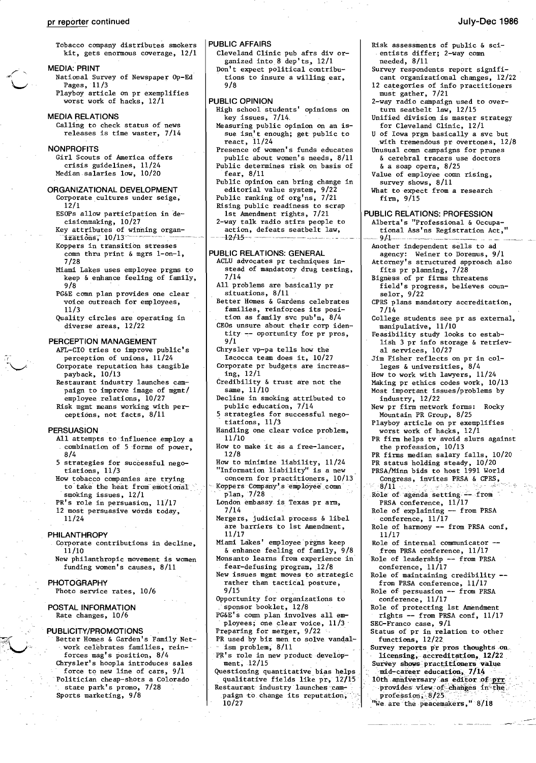# pr reporter continued July-Dec 1986

Tobacco company distributes smokers kit, gets enormous coverage, 12/1

#### MEDIA: PRINT

- National Survey of Newspaper Op-Ed Pages, 11/3 Playboy article on pr exemplifies
- worst work of hacks, 12/1

#### MEDIA RELATIONS

Calling to check status of news releases is time waster, 7/14

### **NONPROFITS**

Girl Scouts of America offers crisis guidelines, 11/24 Median salaries low, 10/20

- ORGANIZATIONAL DEVELOPMENT Corporate cultures under seige, 12/1
	- ESOPs allow participation in de-
	- cisionmaking, 10/27 Key attributes of winning organ  $1$ zati $\delta$ ns; $10/13$
	- Koppers in transition stresses comn thru print & mgrs 1-on-1, 7/28
	- Miami Lakes uses employee prgms to keep & enhance feeling of family, 9/8
	- PG&E comn plan provides one clear voice outreach for employees, 11/3
	- Quality circles are operating in diverse areas, 12/22

#### PERCEPTION MANAGEMENT

- AFL~CIO tries to improve public's perception of unions, 11/24 Corporate reputation has tangible payback, 10/13
- Restaurant industry launches campaign to improve image of mgmt/ employee relations, 10/27
- Risk mgmt means working with perceptions, not facts, 8/11

#### PERSUASION

if

- All attempts to influence employ a combination of 5 forms of power, 8/4
- 5 strategies for successful negotiations, 11/3
- How tobacco companies are trying to take the heat from emotional smoking issues, 12/1

PR's role in persuasion, 11/17

12 most persuasive words today, 11/24

#### PHILANTHROPY

- Corporate contributions in decline, 11/10
- New philanthropic movement is women funding women's causes, 8/11

#### **PHOTOGRAPHY**

Photo service rates, 10/6

POSTAL INFORMATION Rate changes, 10/6

### PUBLICITY/PROMOTIONS

- Better Homes & Garden's Family Network celebrates families, rein forces mag's position, 8/4 Chrysler's hoopla introduces sales
- force to new line of cars, 9/1 . Politician cheap-shots a Colorado state park's promo, 7/28
- Sports marketing, 9/8

#### PUBLIC AFFAIRS

- Cleveland Clinic pub afrs div organized into 8 dep'ts, 12/1 Don't expect political contribu-
- tions to insure a willing ear, 9/8

#### PUBLIC OPINION

- High school students' opinions on key issues, 7/14\_ Measuring public opinion on an is-
- sue isn't enough; get public to react,  $11/24$
- Presence of women's funds educates public about women's needs, 8/11 Public determines risk On basis of fear, 8/11
- Public opinion can bring change in editorial value system, 9/22
- Public ranking of org'ns, 7/21 Rising public readiness to scrap
- 1st Amendment rights, 7/21 2-way talk radio stirs people to
- action, defeats seatbelt law,  $+2/15-$

# PUBLIC RELATIONS: GENERAL

- ACLU advocates pr techniques instead of mandatory drug testing, 7/14
- All problems are basically pr situations, 8/11
- Better Homes & Gardens celebrates families, reinforces its position as family svc pub'n, 8/4
- CEOs unsure about their corp identity -- oportunity for pr pros, 9/1
- Chrysler vp-pa tells how the Iacocca team does it, 10/27
- Corporate pr budgets are increasing, 12/1
- Credibility & trust are not the same, 11/10
- Decline in smoking attributed to public education, 7/14
- 5 strategies for successful nego-<br>tiations,  $11/3$
- Handling one clear voice problem, 11/10
- How to make it as a free-lancer, 12/8
- How to minimize liability, 11/24 "Information liability" is a new
- concern for practitioners, 10/13 Koppers Company's employee comn plan, 7/28
- London embassy is Texas pr arm, 7714
- Mergers, judicial process & libel are barriers 'to 1st Amendment, 11/17
- Miami Lakes' employee prgms keep & enhance feeling of family, 9/8 Monsanto learns from experience in
- fear-defusing program, 12/8 New issues mgmt moves to strategic rather than tactical posture, 9/15
- Opportunity for organizations to sponsor booklet, 12/8
- PG&E's comn plan involves all employees; one clear voice, 11/3
- Preparing for merger, 9/22 PR used by biz men to solve vandal-
- -ism problem; 8/11
- PR's role in new product development, .12/15
- Questioning quantitative bias helps qualitative fields like pr, 12}15 Restaurant industry launches cam-
- paign to change its reputation, 10/27
- Risk assessments of public & scientists differ; 2-way comn needed, 8/11
- Survey respondents report significant organizational changes, 12/22
- 12 categories of info practitioners must gather, 7/21
- 2-way radio campaign used to overturn seatbelt law, 12/15
- Unified division is master strategy for Cleveland Clinic, 12/1

U of Iowa prgm basically a svc but with tremendous pr overtones, 12/8

- Unusual comn campaigns for prunes & cerebral tracers use doctors
- & a soap opera, 8/25
- Value of employee comn rising, survey shows, 8/11
- What to expect from a research firm, 9/15

#### PUBLIC RELATIONS: PROFESSION

- Alberta's "Professional & Occupational Ass'ns Registration Act," --- 9~1-----~\_.\_----
- Another independent sells to ad agency: Weiner to Doremus, 9/1
- Attorney's structured approach also fits pr planning, 7/28
- Bigness of pr firms threatens field's progress, believes coun-
- selor, 9/22 CPRS plans mandatory accreditation, 7/14
- College students see pr as external, manipulative, 11/10
- Feasibility study looks to establish 3 pr info storage & retrieval services, 10/27
- Jim Fisher reflects on pr in colleges & universities, 8/4
- How to work with lawyers, 11/24
- Making pr ethics codes work, 10/13 Most important issues/problems by
- industry, 12/22 New pr firm network forms: Rocky
- Mountain PR Group, 8/25 Playboy article on pr exemplifies
- worst work of hacks, 12/1 PR firm helps tv avoid slurs against
- the profession, 10/13 PR firms median salary falls, 10/20
- PR status holding steady, 10/20
- PRSA/Minn bids to host 1991 World **Congress, invites PRSA & CPRS,**  $8/11$ ...

Role of harmony -- from PRSA conf,

Role of internal communicator from PRSA conference, 11/17 Role of leadership -- from PRSA

Role of maintaining credibility from PRSA conference, 11/17 Role of persuasion -- from PRSA

Role of protecting 1st Amendment rights -- from PRSA conf, 11/17

SEC-Franco case, 9/1<br>Status of pr in relation to other

Survey reports pr pros thoughts on. licensing, accreditation, 12/22 Survey shows practitioners value mid-career education, 7/14<br>10th anniversary as editor of prr provides view of changes in the.<br>profession, 8/25 "We are the peacemakers," 8/18

 $R$ ole of agenda setting  $-$  from PRSA conference, 11/17 Role of explaining -- from PRSA

conference, 11/17

conference, 11/17

conference, 11/17

SEC-Franco case, 9/1

functions, 12/22

11/17